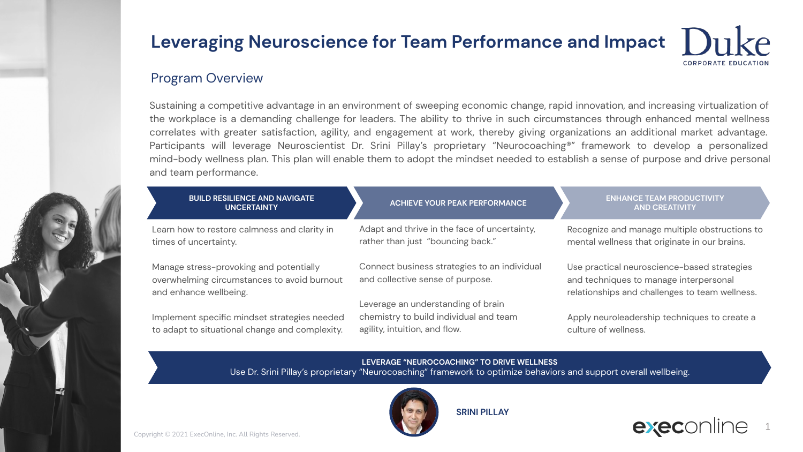#### Program Overview

Sustaining a competitive advantage in an environment of sweeping economic change, rapid innovation, and increasing virtualization of the workplace is a demanding challenge for leaders. The ability to thrive in such circumstances through enhanced mental wellness correlates with greater satisfaction, agility, and engagement at work, thereby giving organizations an additional market advantage. Participants will leverage Neuroscientist Dr. Srini Pillay's proprietary "Neurocoaching®" framework to develop a personalized mind-body wellness plan. This plan will enable them to adopt the mindset needed to establish a sense of purpose and drive personal and team performance.

| <b>BUILD RESILIENCE AND NAVIGATE</b><br><b>UNCERTAINTY</b>                                                                                                      | <b>ACHIEVE YOUR PEAK PERFORMANCE</b>                                                                          | <b>ENHANCE TEAM PRODUCTIVITY</b><br><b>AND CREATIVITY</b>                                                                               |  |  |
|-----------------------------------------------------------------------------------------------------------------------------------------------------------------|---------------------------------------------------------------------------------------------------------------|-----------------------------------------------------------------------------------------------------------------------------------------|--|--|
| Learn how to restore calmness and clarity in<br>times of uncertainty.                                                                                           | Adapt and thrive in the face of uncertainty,<br>rather than just "bouncing back."                             | Recognize and manage multiple obstructions to<br>mental wellness that originate in our brains.                                          |  |  |
| Manage stress-provoking and potentially<br>overwhelming circumstances to avoid burnout<br>and enhance wellbeing.                                                | Connect business strategies to an individual<br>and collective sense of purpose.                              | Use practical neuroscience-based strategies<br>and techniques to manage interpersonal<br>relationships and challenges to team wellness. |  |  |
| Implement specific mindset strategies needed<br>to adapt to situational change and complexity.                                                                  | Leverage an understanding of brain<br>chemistry to build individual and team<br>agility, intuition, and flow. | Apply neuroleadership techniques to create a<br>culture of wellness.                                                                    |  |  |
| LEVERAGE "NEUROCOACHING" TO DRIVE WELLNESS<br>Use Dr. Srini Pillay's proprietary "Neurocoaching" framework to optimize behaviors and support overall wellbeing. |                                                                                                               |                                                                                                                                         |  |  |
|                                                                                                                                                                 | <b>SRINI PILLAY</b>                                                                                           | $\blacksquare$                                                                                                                          |  |  |

execonli 1

CORPORATE EDUCATION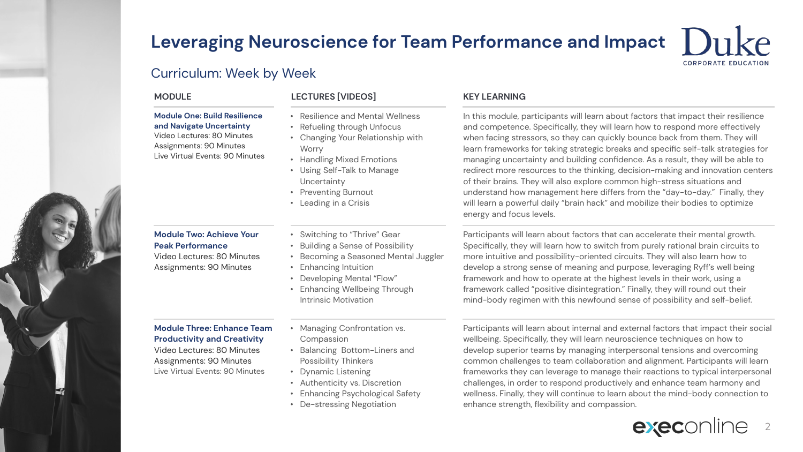#### Curriculum: Week by Week

#### **Module One: Build Resilience and Navigate Uncertainty**

Video Lectures: 80 Minutes Assignments: 90 Minutes Live Virtual Events: 90 Minutes

#### **Module Two: Achieve Your Peak Performance**

Video Lectures: 80 Minutes Assignments: 90 Minutes

#### **Module Three: Enhance Team Productivity and Creativity**

Video Lectures: 80 Minutes Assignments: 90 Minutes Live Virtual Events: 90 Minutes

- **MODULE LECTURES [VIDEOS] KEY LEARNING**
	- Resilience and Mental Wellness
	- Refueling through Unfocus
	- Changing Your Relationship with **Worry**
	- Handling Mixed Emotions
	- Using Self-Talk to Manage Uncertainty
	- Preventing Burnout
	- Leading in a Crisis
	- Switching to "Thrive" Gear
	- Building a Sense of Possibility
	- Becoming a Seasoned Mental Juggler
	- Enhancing Intuition
	- Developing Mental "Flow"
	- Enhancing Wellbeing Through Intrinsic Motivation
	- Managing Confrontation vs. Compassion
	- Balancing Bottom-Liners and Possibility Thinkers
	- Dynamic Listening
	- Authenticity vs. Discretion
	- Enhancing Psychological Safety
	- De-stressing Negotiation

In this module, participants will learn about factors that impact their resilience and competence. Specifically, they will learn how to respond more effectively when facing stressors, so they can quickly bounce back from them. They will learn frameworks for taking strategic breaks and specific self-talk strategies for managing uncertainty and building confidence. As a result, they will be able to redirect more resources to the thinking, decision-making and innovation centers of their brains. They will also explore common high-stress situations and understand how management here differs from the "day-to-day." Finally, they will learn a powerful daily "brain hack" and mobilize their bodies to optimize energy and focus levels.

Participants will learn about factors that can accelerate their mental growth. Specifically, they will learn how to switch from purely rational brain circuits to more intuitive and possibility-oriented circuits. They will also learn how to develop a strong sense of meaning and purpose, leveraging Ryff's well being framework and how to operate at the highest levels in their work, using a framework called "positive disintegration." Finally, they will round out their mind-body regimen with this newfound sense of possibility and self-belief.

Participants will learn about internal and external factors that impact their social wellbeing. Specifically, they will learn neuroscience techniques on how to develop superior teams by managing interpersonal tensions and overcoming common challenges to team collaboration and alignment. Participants will learn frameworks they can leverage to manage their reactions to typical interpersonal challenges, in order to respond productively and enhance team harmony and wellness. Finally, they will continue to learn about the mind-body connection to enhance strength, flexibility and compassion.



**CORPORATE EDUCATION**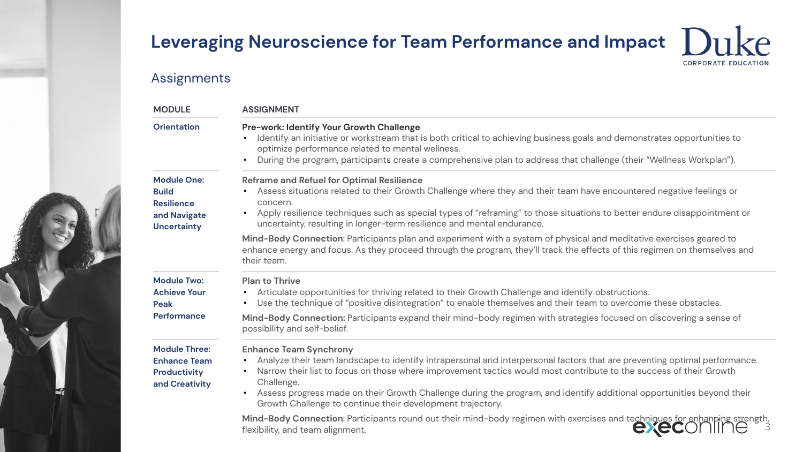$k_{\mathsf{P}}$ 

**CORPORATE EDUCATION** 

## Assignments

| <b>MODULE</b>                                                                                 | <b>ASSIGNMENT</b><br>Pre-work: Identify Your Growth Challenge<br>Identify an initiative or workstream that is both critical to achieving business goals and demonstrates opportunities to<br>optimize performance related to mental wellness.<br>During the program, participants create a comprehensive plan to address that challenge (their "Wellness Workplan").<br>$\bullet$                                                                                                                               |  |  |  |
|-----------------------------------------------------------------------------------------------|-----------------------------------------------------------------------------------------------------------------------------------------------------------------------------------------------------------------------------------------------------------------------------------------------------------------------------------------------------------------------------------------------------------------------------------------------------------------------------------------------------------------|--|--|--|
| <b>Orientation</b>                                                                            |                                                                                                                                                                                                                                                                                                                                                                                                                                                                                                                 |  |  |  |
| <b>Module One:</b><br><b>Build</b><br><b>Resilience</b><br>and Navigate<br><b>Uncertainty</b> | Reframe and Refuel for Optimal Resilience<br>Assess situations related to their Growth Challenge where they and their team have encountered negative feelings or<br>concern.<br>Apply resilience techniques such as special types of "reframing" to those situations to better endure disappointment or<br>$\bullet$<br>uncertainty, resulting in longer-term resilience and mental endurance.                                                                                                                  |  |  |  |
|                                                                                               | Mind-Body Connection: Participants plan and experiment with a system of physical and meditative exercises geared to<br>enhance energy and focus. As they proceed through the program, they'll track the effects of this regimen on themselves and<br>their team.                                                                                                                                                                                                                                                |  |  |  |
| <b>Module Two:</b><br><b>Achieve Your</b><br>Peak                                             | <b>Plan to Thrive</b><br>Articulate opportunities for thriving related to their Growth Challenge and identify obstructions.<br>$\bullet$<br>Use the technique of "positive disintegration" to enable themselves and their team to overcome these obstacles.                                                                                                                                                                                                                                                     |  |  |  |
| Performance                                                                                   | Mind-Body Connection: Participants expand their mind-body regimen with strategies focused on discovering a sense of<br>possibility and self-belief.                                                                                                                                                                                                                                                                                                                                                             |  |  |  |
| <b>Module Three:</b><br><b>Enhance Team</b><br>Productivity<br>and Creativity                 | <b>Enhance Team Synchrony</b><br>Analyze their team landscape to identify intrapersonal and interpersonal factors that are preventing optimal performance.<br>Narrow their list to focus on those where improvement tactics would most contribute to the success of their Growth<br>$\bullet$<br>Challenge.<br>Assess progress made on their Growth Challenge during the program, and identify additional opportunities beyond their<br>$\bullet$<br>Growth Challenge to continue their development trajectory. |  |  |  |
|                                                                                               | Mind-Body Connection: Participants round out their mind-body regimen with exercises and techniques for enhanping strength,<br>exec<br>flexibility, and team alignment.                                                                                                                                                                                                                                                                                                                                          |  |  |  |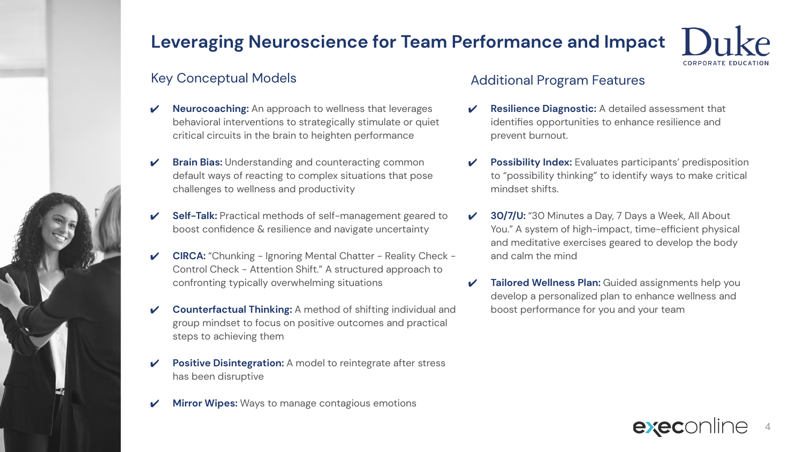### Key Conceptual Models

- **Neurocoaching:** An approach to wellness that leverages behavioral interventions to strategically stimulate or quiet critical circuits in the brain to heighten performance
- **Brain Bias:** Understanding and counteracting common default ways of reacting to complex situations that pose challenges to wellness and productivity
- **Self-Talk:** Practical methods of self-management geared to boost confidence & resilience and navigate uncertainty
- **CIRCA:** "Chunking Ignoring Mental Chatter Reality Check -Control Check - Attention Shift." A structured approach to confronting typically overwhelming situations
- **Counterfactual Thinking:** A method of shifting individual and group mindset to focus on positive outcomes and practical steps to achieving them
- **Positive Disintegration:** A model to reintegrate after stress has been disruptive
- **Mirror Wipes:** Ways to manage contagious emotions

### Additional Program Features

- **Resilience Diagnostic:** A detailed assessment that identifies opportunities to enhance resilience and prevent burnout.
- **Possibility Index:** Evaluates participants' predisposition to "possibility thinking" to identify ways to make critical mindset shifts.
- 30/7/U: "30 Minutes a Day, 7 Days a Week, All About You." A system of high-impact, time-efficient physical and meditative exercises geared to develop the body and calm the mind
- **Tailored Wellness Plan:** Guided assignments help you develop a personalized plan to enhance wellness and boost performance for you and your team



CORPORATE EDUCATIOL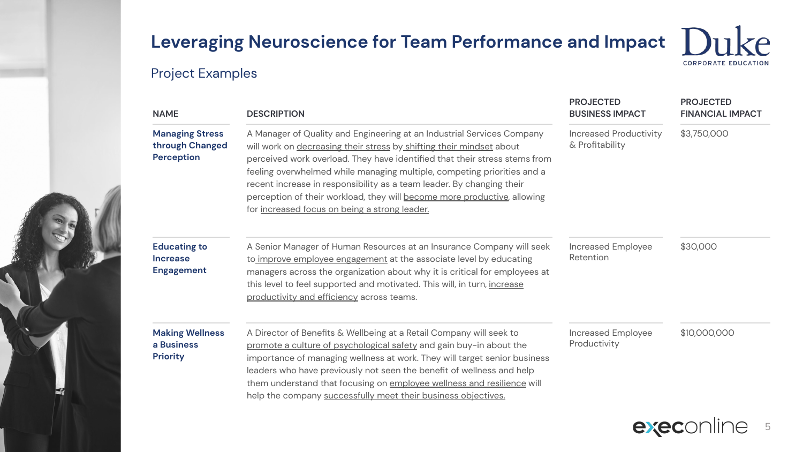## Project Examples

| <b>NAME</b>                                                 | <b>DESCRIPTION</b>                                                                                                                                                                                                                                                                                                                                                                                                                                                                                            | <b>PROJECTED</b><br><b>BUSINESS IMPACT</b>       | <b>PROJECTED</b><br><b>FINANCIAL IMPACT</b> |
|-------------------------------------------------------------|---------------------------------------------------------------------------------------------------------------------------------------------------------------------------------------------------------------------------------------------------------------------------------------------------------------------------------------------------------------------------------------------------------------------------------------------------------------------------------------------------------------|--------------------------------------------------|---------------------------------------------|
| <b>Managing Stress</b><br>through Changed<br>Perception     | A Manager of Quality and Engineering at an Industrial Services Company<br>will work on decreasing their stress by shifting their mindset about<br>perceived work overload. They have identified that their stress stems from<br>feeling overwhelmed while managing multiple, competing priorities and a<br>recent increase in responsibility as a team leader. By changing their<br>perception of their workload, they will become more productive, allowing<br>for increased focus on being a strong leader. | <b>Increased Productivity</b><br>& Profitability | \$3,750,000                                 |
| <b>Educating to</b><br><b>Increase</b><br><b>Engagement</b> | A Senior Manager of Human Resources at an Insurance Company will seek<br>to improve employee engagement at the associate level by educating<br>managers across the organization about why it is critical for employees at<br>this level to feel supported and motivated. This will, in turn, increase<br>productivity and efficiency across teams.                                                                                                                                                            | Increased Employee<br>Retention                  | \$30,000                                    |
| <b>Making Wellness</b><br>a Business<br><b>Priority</b>     | A Director of Benefits & Wellbeing at a Retail Company will seek to<br>promote a culture of psychological safety and gain buy-in about the<br>importance of managing wellness at work. They will target senior business<br>leaders who have previously not seen the benefit of wellness and help<br>them understand that focusing on employee wellness and resilience will<br>help the company successfully meet their business objectives.                                                                   | Increased Employee<br>Productivity               | \$10,000,000                                |



 $k_{\mathsf{P}}$ 

**CORPORATE EDUCATION**